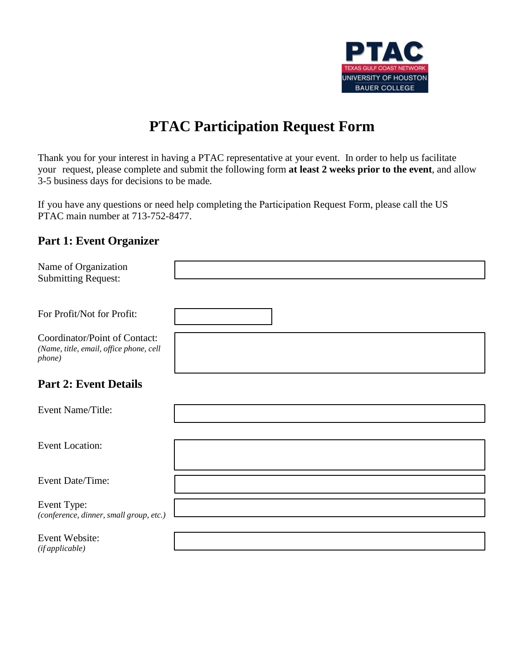

## **PTAC Participation Request Form**

Thank you for your interest in having a PTAC representative at your event. In order to help us facilitate your request, please complete and submit the following form **at least 2 weeks prior to the event**, and allow 3-5 business days for decisions to be made.

If you have any questions or need help completing the Participation Request Form, please call the US PTAC main number at 713-752-8477.

## **Part 1: Event Organizer**

| Name of Organization<br><b>Submitting Request:</b>                                 |  |
|------------------------------------------------------------------------------------|--|
| For Profit/Not for Profit:                                                         |  |
| Coordinator/Point of Contact:<br>(Name, title, email, office phone, cell<br>phone) |  |
| <b>Part 2: Event Details</b>                                                       |  |
| Event Name/Title:                                                                  |  |
| <b>Event Location:</b>                                                             |  |
| Event Date/Time:                                                                   |  |
| Event Type:<br>(conference, dinner, small group, etc.)                             |  |
| Event Website:<br>(if applicable)                                                  |  |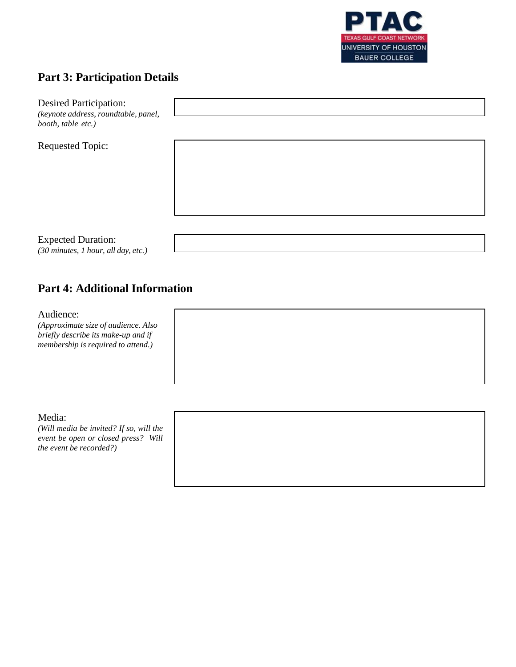

## **Part 3: Participation Details**

| <b>Desired Participation:</b><br>(keynote address, roundtable, panel,<br>booth, table etc.) |  |
|---------------------------------------------------------------------------------------------|--|
| <b>Requested Topic:</b>                                                                     |  |
| <b>Expected Duration:</b><br>(30 minutes, 1 hour, all day, etc.)                            |  |

## **Part 4: Additional Information**

Audience:

*(Approximate size of audience. Also briefly describe its make-up and if membership is required to attend.)*

Media:

*(Will media be invited? If so, will the event be open or closed press? Will the event be recorded?)*